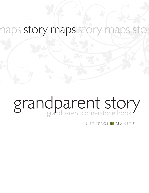### naps story maps story maps stor

# grandparent cornerstone book grandparent story

HERITAGE MAKERS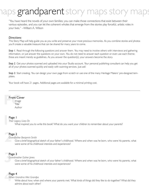# os grandparent story maps story r

"You have heard the novels of your own families; you can make those connections that exist between their various episodes, and you can let the coherent wholes that emerge from the stories play forceful, artistic roles in your lives." --William A. Wilson

### *Directions:*

This Story Map will help guide you as you write and preserve your most precious memories. As you combine stories and photos you'll create a valuable treasure that can be shared for many years to come.

**Step 1.** Read through the following questions and answer them. You may need to involve others with interviews and gathering information, or just answer the questions on your own. You do not need to answer each question or even use each theme; these are meant merely as guidelines. As you answer the question(s), your answers become the story.

*Step 2.* Get your photos scanned and uploaded into your Studio account. Your personal publishing consultant can help you get all of your photos scanned quickly and easily with scanning services. Just ask!

*Step 3.* Start creating. You can design your own page from scratch or use one of the many Heritage Makers' pre-designed templates.

Your book will have 21 pages. Additional pages are available for a minimal printing cost.

### Front Cover

**Front Cover**<br>
Image<br>
Title Image **Title** Author

# **1**<br>1 Page 1

*Their Legacy Lives On*

What inspired you to write this book? What do you want your children to remember about your parents?

# **Pa**<br>Gro Page 2

*Grandfather Benjamin Smith*

Give a brief biographical sketch of your father's childhood. Where and when was he born, who were his parents, what were some of his childhood interests and experiences?

# **Pa**<br>Gro Page 3

*Grandmother Esther Jones* 

Give a brief biographical sketch of your father's childhood. Where and when was he born, who were his parents, what were some of his childhood interests and experiences?

# **Pag**<br>
Wh Page 4

*When Grandma Met Grandpa* 

Write about how, when and where your parents met. What kinds of things did they like to do together? What did they admire about each other?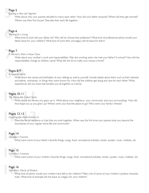# **Pa**<br>Bui Page 5

#### *Building a New Life Together*

Write about why your parents decided to marry each other. How did your father propose? Where did they get married? Where was their first house? Describe their early life together.

# **Pa**<br>
Wo Page 6

#### *Working for a Living*

What kind of work did your father do? Why did he choose that profession? What kind of professional advice would your father leave for your children? What kind of work ethic and legacy did he leave for them?

# **Pa**<br>A V Page 7

#### *A Woman's Work is Never Done*

Write about your mother's work and responsibilities. Was she working when she met your father? In school? How did her responsibilities change as children came? What did she do to make your house a home?

### Pages 8-9

# **Pages 8-9**<br>A Growing Fami<br>Write dow *A Growing Family*

Write down the names and birthdates of your siblings as well as yourself. Include details about them such as their interests and talents, nicknames, or things they were known for. How did the children get along and care for each other? What experiences did you have that bonded you all together as a family.

### Pages 10-11

*The Places We Called Home*

Pages 10-11<br>The Places We Called Home<br>Write about the home<br>that shape you as you Write about the homes you grew up in. Write about your neighbors, your community, and your surroundings. How did that shape you as you grew up? Where were your favorite places to go? Who were your family's friends?

### Pages 12-13

#### *Exploring the World Around Us*

Pages 12-13<br>Exploring the World Around U<br>Describe family vacation Describe family vacations or trips that you took together. When was the first time your parents took you beyond the boundaries of your regular home life and community?

# Page 1<br>Grandpa<br>W Page 14

#### *Grandpa's Favorites*

What were some of your father's favorite things: songs, food, recreational activities, books, quotes, music, hobbies, etc.

# **Page 1**<br>Grandma<br>W Page 15

#### *Grandma's Favorites*

What were some of your mother's favorite things: songs, food, recreational activities, books, quotes, music, hobbies, etc.

# **1**<br>Grandmo<br>W<br>tra Page 16

#### *Grandma's Words of Wisdom*

What kind of advice would your mother have left to her children? Make a list of some of your mother's positive character traits. What kind of example did she leave as a legacy for your children?